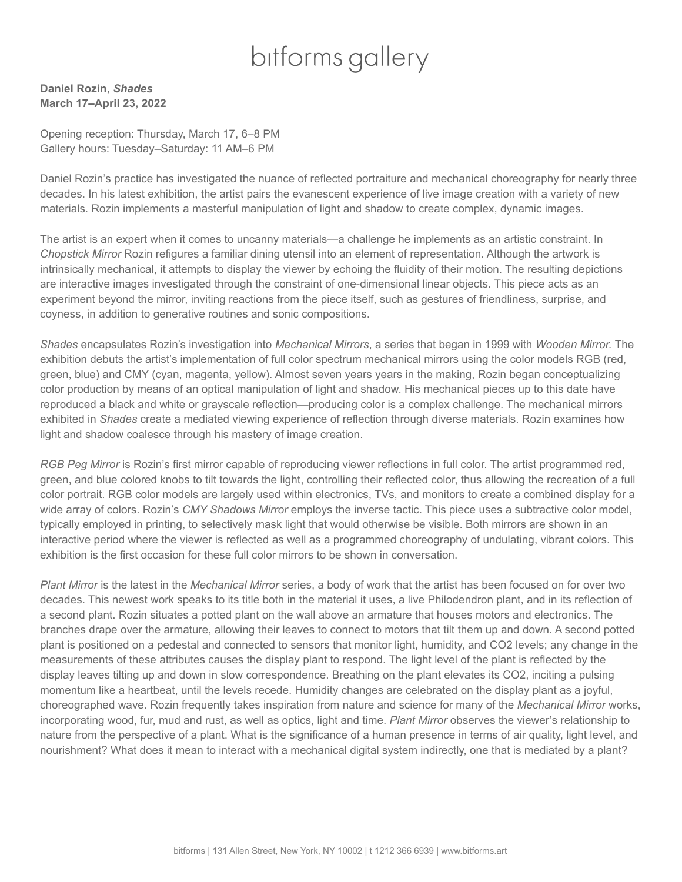## bitforms gallery

**Daniel Rozin,** *Shades* **March 17–April 23, 2022**

Opening reception: Thursday, March 17, 6–8 PM Gallery hours: Tuesday–Saturday: 11 AM–6 PM

Daniel Rozin's practice has investigated the nuance of reflected portraiture and mechanical choreography for nearly three decades. In his latest exhibition, the artist pairs the evanescent experience of live image creation with a variety of new materials. Rozin implements a masterful manipulation of light and shadow to create complex, dynamic images.

The artist is an expert when it comes to uncanny materials—a challenge he implements as an artistic constraint. In *Chopstick Mirror* Rozin refigures a familiar dining utensil into an element of representation. Although the artwork is intrinsically mechanical, it attempts to display the viewer by echoing the fluidity of their motion. The resulting depictions are interactive images investigated through the constraint of one-dimensional linear objects. This piece acts as an experiment beyond the mirror, inviting reactions from the piece itself, such as gestures of friendliness, surprise, and coyness, in addition to generative routines and sonic compositions.

*Shades* encapsulates Rozin's investigation into *Mechanical Mirrors*, a series that began in 1999 with *Wooden Mirror.* The exhibition debuts the artist's implementation of full color spectrum mechanical mirrors using the color models RGB (red, green, blue) and CMY (cyan, magenta, yellow). Almost seven years years in the making, Rozin began conceptualizing color production by means of an optical manipulation of light and shadow. His mechanical pieces up to this date have reproduced a black and white or grayscale reflection—producing color is a complex challenge. The mechanical mirrors exhibited in *Shades* create a mediated viewing experience of reflection through diverse materials. Rozin examines how light and shadow coalesce through his mastery of image creation.

*RGB Peg Mirror* is Rozin's first mirror capable of reproducing viewer reflections in full color. The artist programmed red, green, and blue colored knobs to tilt towards the light, controlling their reflected color, thus allowing the recreation of a full color portrait. RGB color models are largely used within electronics, TVs, and monitors to create a combined display for a wide array of colors. Rozin's *CMY Shadows Mirror* employs the inverse tactic. This piece uses a subtractive color model, typically employed in printing, to selectively mask light that would otherwise be visible. Both mirrors are shown in an interactive period where the viewer is reflected as well as a programmed choreography of undulating, vibrant colors. This exhibition is the first occasion for these full color mirrors to be shown in conversation.

*Plant Mirror* is the latest in the *Mechanical Mirror* series, a body of work that the artist has been focused on for over two decades. This newest work speaks to its title both in the material it uses, a live Philodendron plant, and in its reflection of a second plant. Rozin situates a potted plant on the wall above an armature that houses motors and electronics. The branches drape over the armature, allowing their leaves to connect to motors that tilt them up and down. A second potted plant is positioned on a pedestal and connected to sensors that monitor light, humidity, and CO2 levels; any change in the measurements of these attributes causes the display plant to respond. The light level of the plant is reflected by the display leaves tilting up and down in slow correspondence. Breathing on the plant elevates its CO2, inciting a pulsing momentum like a heartbeat, until the levels recede. Humidity changes are celebrated on the display plant as a joyful, choreographed wave. Rozin frequently takes inspiration from nature and science for many of the *Mechanical Mirror* works, incorporating wood, fur, mud and rust, as well as optics, light and time. *Plant Mirror* observes the viewer's relationship to nature from the perspective of a plant. What is the significance of a human presence in terms of air quality, light level, and nourishment? What does it mean to interact with a mechanical digital system indirectly, one that is mediated by a plant?